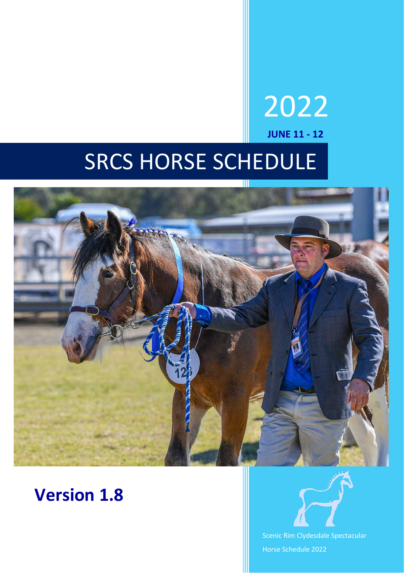# SRCS HORSE SCHEDULE



# **Version 1.8**



2022

**JUNE 11 - 12**

Scenic Rim Clydesdale Spectacular Horse Schedule 2022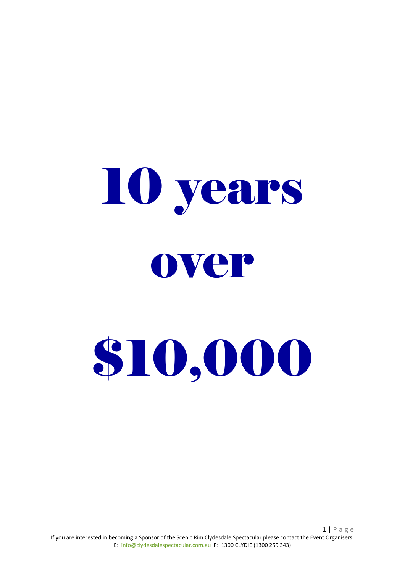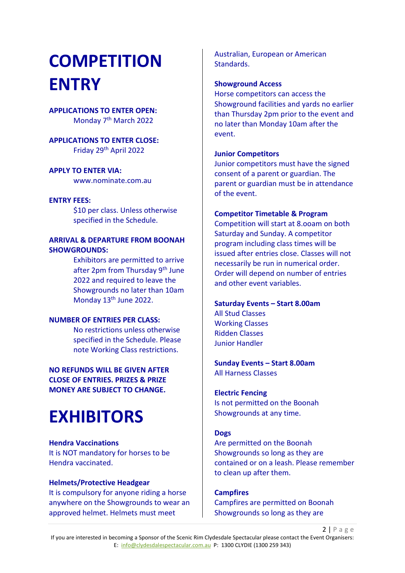# **COMPETITION ENTRY**

### **APPLICATIONS TO ENTER OPEN:** Monday 7th March 2022

**APPLICATIONS TO ENTER CLOSE:** Friday 29th April 2022

#### **APPLY TO ENTER VIA:**

www.nominate.com.au

#### **ENTRY FEES:**

\$10 per class. Unless otherwise specified in the Schedule.

#### **ARRIVAL & DEPARTURE FROM BOONAH SHOWGROUNDS:**

Exhibitors are permitted to arrive after 2pm from Thursday 9<sup>th</sup> June 2022 and required to leave the Showgrounds no later than 10am Monday 13th June 2022.

#### **NUMBER OF ENTRIES PER CLASS:**

No restrictions unless otherwise specified in the Schedule. Please note Working Class restrictions.

**NO REFUNDS WILL BE GIVEN AFTER CLOSE OF ENTRIES. PRIZES & PRIZE MONEY ARE SUBJECT TO CHANGE.**

# **EXHIBITORS**

**Hendra Vaccinations** It is NOT mandatory for horses to be Hendra vaccinated.

#### **Helmets/Protective Headgear**

It is compulsory for anyone riding a horse anywhere on the Showgrounds to wear an approved helmet. Helmets must meet

Australian, European or American Standards.

#### **Showground Access**

Horse competitors can access the Showground facilities and yards no earlier than Thursday 2pm prior to the event and no later than Monday 10am after the event.

#### **Junior Competitors**

Junior competitors must have the signed consent of a parent or guardian. The parent or guardian must be in attendance of the event.

#### **Competitor Timetable & Program**

Competition will start at 8.ooam on both Saturday and Sunday. A competitor program including class times will be issued after entries close. Classes will not necessarily be run in numerical order. Order will depend on number of entries and other event variables.

#### **Saturday Events – Start 8.00am**

All Stud Classes Working Classes Ridden Classes Junior Handler

#### **Sunday Events – Start 8.00am** All Harness Classes

#### **Electric Fencing**

Is not permitted on the Boonah Showgrounds at any time.

#### **Dogs**

Are permitted on the Boonah Showgrounds so long as they are contained or on a leash. Please remember to clean up after them.

**Campfires** Campfires are permitted on Boonah Showgrounds so long as they are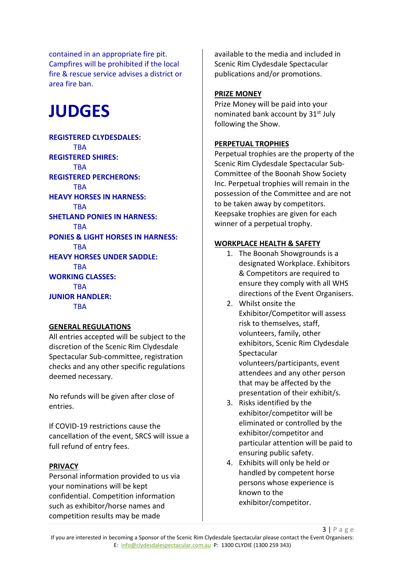contained in an appropriate fire pit. Campfires will be prohibited if the local fire & rescue service advises a district or area fire ban.

# **JUDGES**

**REGISTERED CLYDESDALES: TBA REGISTERED SHIRES: TRA REGISTERED PERCHERONS: TBA HEAVY HORSES IN HARNESS: TRA SHETLAND PONIES IN HARNESS: TRA PONIES & LIGHT HORSES IN HARNESS: TBA HEAVY HORSES UNDER SADDLE: TRA WORKING CLASSES: TRA JUNIOR HANDLER: TBA** 

# **GENERAL REGULATIONS**

All entries accepted will be subject to the discretion of the Scenic Rim Clydesdale Spectacular Sub-committee, registration checks and any other specific regulations deemed necessary.

No refunds will be given after close of entries.

If COVID-19 restrictions cause the cancellation of the event, SRCS will issue a full refund of entry fees.

# **PRIVACY**

Personal information provided to us via your nominations will be kept confidential. Competition information such as exhibitor/horse names and competition results may be made

available to the media and included in Scenic Rim Clydesdale Spectacular publications and/or promotions.

#### **PRIZE MONEY**

Prize Money will be paid into your nominated bank account by 31<sup>st</sup> July following the Show.

# **PERPETUAL TROPHIES**

Perpetual trophies are the property of the Scenic Rim Clydesdale Spectacular Sub-Committee of the Boonah Show Society Inc. Perpetual trophies will remain in the possession of the Committee and are not to be taken away by competitors. Keepsake trophies are given for each winner of a perpetual trophy.

# **WORKPLACE HEALTH & SAFETY**

- 1. The Boonah Showgrounds is a designated Workplace. Exhibitors & Competitors are required to ensure they comply with all WHS directions of the Event Organisers.
- 2. Whilst onsite the Exhibitor/Competitor will assess risk to themselves, staff, volunteers, family, other exhibitors, Scenic Rim Clydesdale Spectacular volunteers/participants, event attendees and any other person that may be affected by the presentation of their exhibit/s.
- 3. Risks identified by the exhibitor/competitor will be eliminated or controlled by the exhibitor/competitor and particular attention will be paid to ensuring public safety.
- 4. Exhibits will only be held or handled by competent horse persons whose experience is known to the exhibitor/competitor.

3 | Page If you are interested in becoming a Sponsor of the Scenic Rim Clydesdale Spectacular please contact the Event Organisers: E: [info@clydesdalespectacular.com.au](mailto:info@clydesdalespectacular.com.au) P: 1300 CLYDIE (1300 259 343)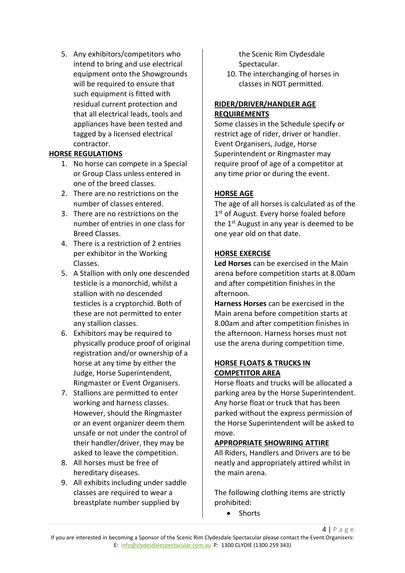5. Any exhibitors/competitors who intend to bring and use electrical equipment onto the Showgrounds will be required to ensure that such equipment is fitted with residual current protection and that all electrical leads, tools and appliances have been tested and tagged by a licensed electrical contractor.

# **HORSE REGULATIONS**

- 1. No horse can compete in a Special or Group Class unless entered in one of the breed classes.
- 2. There are no restrictions on the number of classes entered.
- 3. There are no restrictions on the number of entries in one class for Breed Classes.
- 4. There is a restriction of 2 entries per exhibitor in the Working Classes.
- 5. A Stallion with only one descended testicle is a monorchid, whilst a stallion with no descended testicles is a cryptorchid. Both of these are not permitted to enter any stallion classes.
- 6. Exhibitors may be required to physically produce proof of original registration and/or ownership of a horse at any time by either the Judge, Horse Superintendent, Ringmaster or Event Organisers.
- 7. Stallions are permitted to enter working and harness classes. However, should the Ringmaster or an event organizer deem them unsafe or not under the control of their handler/driver, they may be asked to leave the competition.
- 8. All horses must be free of hereditary diseases.
- 9. All exhibits including under saddle classes are required to wear a breastplate number supplied by

the Scenic Rim Clydesdale Spectacular.

10. The interchanging of horses in classes in NOT permitted.

# **RIDER/DRIVER/HANDLER AGE REQUIREMENTS**

Some classes in the Schedule specify or restrict age of rider, driver or handler. Event Organisers, Judge, Horse Superintendent or Ringmaster may require proof of age of a competitor at any time prior or during the event.

# **HORSE AGE**

The age of all horses is calculated as of the 1<sup>st</sup> of August. Every horse foaled before the  $1<sup>st</sup>$  August in any year is deemed to be one year old on that date.

# **HORSE EXERCISE**

**Led Horses** can be exercised in the Main arena before competition starts at 8.00am and after competition finishes in the afternoon.

**Harness Horses** can be exercised in the Main arena before competition starts at 8.00am and after competition finishes in the afternoon. Harness horses must not use the arena during competition time.

# **HORSE FLOATS & TRUCKS IN COMPETITOR AREA**

Horse floats and trucks will be allocated a parking area by the Horse Superintendent. Any horse float or truck that has been parked without the express permission of the Horse Superintendent will be asked to move.

# **APPROPRIATE SHOWRING ATTIRE**

All Riders, Handlers and Drivers are to be neatly and appropriately attired whilst in the main arena.

The following clothing items are strictly prohibited:

• Shorts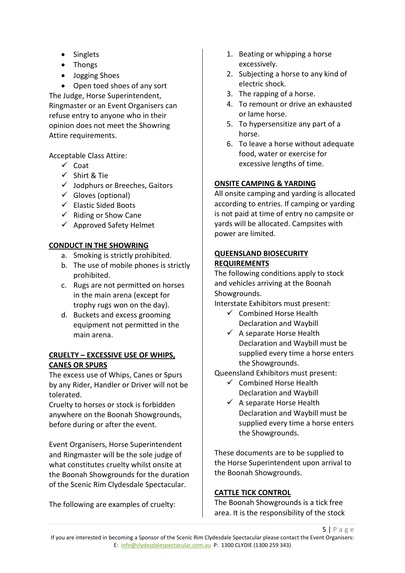- Singlets
- Thongs
- Jogging Shoes

• Open toed shoes of any sort The Judge, Horse Superintendent, Ringmaster or an Event Organisers can refuse entry to anyone who in their opinion does not meet the Showring Attire requirements.

Acceptable Class Attire:

- $\checkmark$  Coat
- $\checkmark$  Shirt & Tie
- $\checkmark$  Jodphurs or Breeches, Gaitors
- $\checkmark$  Gloves (optional)
- $\checkmark$  Elastic Sided Boots
- $\checkmark$  Riding or Show Cane
- $\checkmark$  Approved Safety Helmet

# **CONDUCT IN THE SHOWRING**

- a. Smoking is strictly prohibited.
- b. The use of mobile phones is strictly prohibited.
- c. Rugs are not permitted on horses in the main arena (except for trophy rugs won on the day).
- d. Buckets and excess grooming equipment not permitted in the main arena.

# **CRUELTY – EXCESSIVE USE OF WHIPS, CANES OR SPURS**

The excess use of Whips, Canes or Spurs by any Rider, Handler or Driver will not be tolerated.

Cruelty to horses or stock is forbidden anywhere on the Boonah Showgrounds, before during or after the event.

Event Organisers, Horse Superintendent and Ringmaster will be the sole judge of what constitutes cruelty whilst onsite at the Boonah Showgrounds for the duration of the Scenic Rim Clydesdale Spectacular.

The following are examples of cruelty:

- 1. Beating or whipping a horse excessively.
- 2. Subjecting a horse to any kind of electric shock.
- 3. The rapping of a horse.
- 4. To remount or drive an exhausted or lame horse.
- 5. To hypersensitize any part of a horse.
- 6. To leave a horse without adequate food, water or exercise for excessive lengths of time.

# **ONSITE CAMPING & YARDING**

All onsite camping and yarding is allocated according to entries. If camping or yarding is not paid at time of entry no campsite or yards will be allocated. Campsites with power are limited.

# **QUEENSLAND BIOSECURITY REQUIREMENTS**

The following conditions apply to stock and vehicles arriving at the Boonah Showgrounds.

Interstate Exhibitors must present:

- $\checkmark$  Combined Horse Health Declaration and Waybill
- $\checkmark$  A separate Horse Health Declaration and Waybill must be supplied every time a horse enters the Showgrounds.

Queensland Exhibitors must present:

- $\checkmark$  Combined Horse Health Declaration and Waybill
- $\checkmark$  A separate Horse Health Declaration and Waybill must be supplied every time a horse enters the Showgrounds.

These documents are to be supplied to the Horse Superintendent upon arrival to the Boonah Showgrounds.

# **CATTLE TICK CONTROL**

The Boonah Showgrounds is a tick free area. It is the responsibility of the stock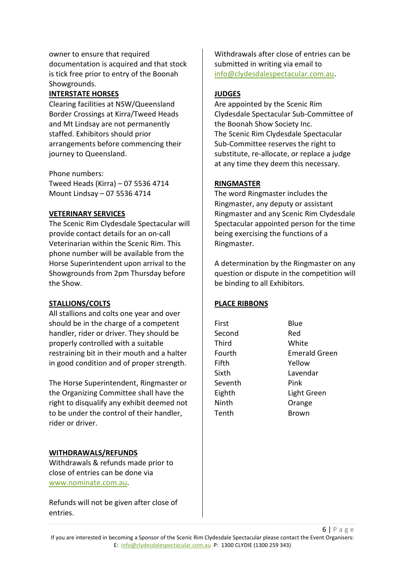owner to ensure that required documentation is acquired and that stock is tick free prior to entry of the Boonah Showgrounds.

# **INTERSTATE HORSES**

Clearing facilities at NSW/Queensland Border Crossings at Kirra/Tweed Heads and Mt Lindsay are not permanently staffed. Exhibitors should prior arrangements before commencing their journey to Queensland.

Phone numbers:

Tweed Heads (Kirra) – 07 5536 4714 Mount Lindsay – 07 5536 4714

#### **VETERINARY SERVICES**

The Scenic Rim Clydesdale Spectacular will provide contact details for an on-call Veterinarian within the Scenic Rim. This phone number will be available from the Horse Superintendent upon arrival to the Showgrounds from 2pm Thursday before the Show.

#### **STALLIONS/COLTS**

All stallions and colts one year and over should be in the charge of a competent handler, rider or driver. They should be properly controlled with a suitable restraining bit in their mouth and a halter in good condition and of proper strength.

The Horse Superintendent, Ringmaster or the Organizing Committee shall have the right to disqualify any exhibit deemed not to be under the control of their handler, rider or driver.

# **WITHDRAWALS/REFUNDS**

Withdrawals & refunds made prior to close of entries can be done via [www.nominate.com.au.](http://www.nominate.com.au/)

Refunds will not be given after close of entries.

Withdrawals after close of entries can be submitted in writing via email to [info@clydesdalespectacular.com.au.](mailto:info@clydesdalespectacular.com.au)

# **JUDGES**

Are appointed by the Scenic Rim Clydesdale Spectacular Sub-Committee of the Boonah Show Society Inc. The Scenic Rim Clydesdale Spectacular Sub-Committee reserves the right to substitute, re-allocate, or replace a judge at any time they deem this necessary.

#### **RINGMASTER**

The word Ringmaster includes the Ringmaster, any deputy or assistant Ringmaster and any Scenic Rim Clydesdale Spectacular appointed person for the time being exercising the functions of a Ringmaster.

A determination by the Ringmaster on any question or dispute in the competition will be binding to all Exhibitors.

#### **PLACE RIBBONS**

| First   | Blue                 |
|---------|----------------------|
| Second  | Red                  |
| Third   | White                |
| Fourth  | <b>Emerald Green</b> |
| Fifth   | Yellow               |
| Sixth   | Lavendar             |
| Seventh | Pink                 |
| Eighth  | Light Green          |
| Ninth   | Orange               |
| Tenth   | <b>Brown</b>         |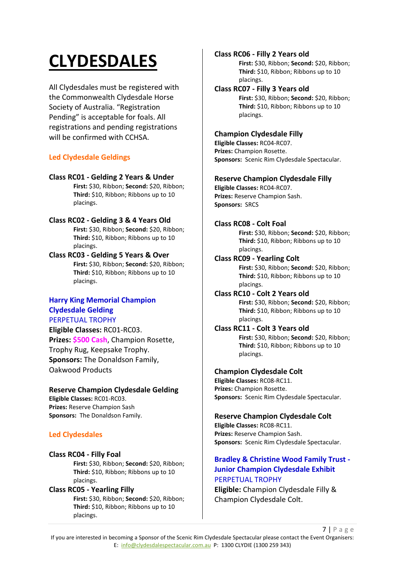# **CLYDESDALES**

All Clydesdales must be registered with the Commonwealth Clydesdale Horse Society of Australia. "Registration Pending" is acceptable for foals. All registrations and pending registrations will be confirmed with CCHSA.

# **Led Clydesdale Geldings**

#### **Class RC01 - Gelding 2 Years & Under**

**First:** \$30, Ribbon; **Second:** \$20, Ribbon; **Third:** \$10, Ribbon; Ribbons up to 10 placings.

#### **Class RC02 - Gelding 3 & 4 Years Old**

**First:** \$30, Ribbon; **Second:** \$20, Ribbon; **Third:** \$10, Ribbon; Ribbons up to 10 placings.

# **Class RC03 - Gelding 5 Years & Over**

**First:** \$30, Ribbon; **Second:** \$20, Ribbon; **Third:** \$10, Ribbon; Ribbons up to 10 placings.

# **Harry King Memorial Champion Clydesdale Gelding**

PERPETUAL TROPHY **Eligible Classes:** RC01-RC03. **Prizes: \$500 Cash**, Champion Rosette, Trophy Rug, Keepsake Trophy. **Sponsors:** The Donaldson Family, Oakwood Products

# **Reserve Champion Clydesdale Gelding**

**Eligible Classes:** RC01-RC03. **Prizes:** Reserve Champion Sash **Sponsors:** The Donaldson Family.

# **Led Clydesdales**

#### **Class RC04 - Filly Foal**

**First:** \$30, Ribbon; **Second:** \$20, Ribbon; **Third:** \$10, Ribbon; Ribbons up to 10 placings.

# **Class RC05 - Yearling Filly**

**First:** \$30, Ribbon; **Second:** \$20, Ribbon; **Third:** \$10, Ribbon; Ribbons up to 10 placings.

### **Class RC06 - Filly 2 Years old**

**First:** \$30, Ribbon; **Second:** \$20, Ribbon; **Third:** \$10, Ribbon; Ribbons up to 10 placings.

#### **Class RC07 - Filly 3 Years old**

**First:** \$30, Ribbon; **Second:** \$20, Ribbon; **Third:** \$10, Ribbon; Ribbons up to 10 placings.

# **Champion Clydesdale Filly**

**Eligible Classes:** RC04-RC07. **Prizes:** Champion Rosette. **Sponsors:** Scenic Rim Clydesdale Spectacular.

#### **Reserve Champion Clydesdale Filly**

**Eligible Classes:** RC04-RC07. **Prizes:** Reserve Champion Sash. **Sponsors:** SRCS

#### **Class RC08 - Colt Foal**

**First:** \$30, Ribbon; **Second:** \$20, Ribbon; **Third:** \$10, Ribbon; Ribbons up to 10 placings.

#### **Class RC09 - Yearling Colt**

**First:** \$30, Ribbon; **Second:** \$20, Ribbon; **Third:** \$10, Ribbon; Ribbons up to 10 placings.

#### **Class RC10 - Colt 2 Years old**

**First:** \$30, Ribbon; **Second:** \$20, Ribbon; **Third:** \$10, Ribbon; Ribbons up to 10 placings.

#### **Class RC11 - Colt 3 Years old**

**First:** \$30, Ribbon; **Second:** \$20, Ribbon; **Third:** \$10, Ribbon; Ribbons up to 10 placings.

# **Champion Clydesdale Colt**

**Eligible Classes:** RC08-RC11. **Prizes:** Champion Rosette. **Sponsors:** Scenic Rim Clydesdale Spectacular.

# **Reserve Champion Clydesdale Colt**

**Eligible Classes:** RC08-RC11. **Prizes:** Reserve Champion Sash. **Sponsors:** Scenic Rim Clydesdale Spectacular.

# **Bradley & Christine Wood Family Trust - Junior Champion Clydesdale Exhibit**  PERPETUAL TROPHY

**Eligible:** Champion Clydesdale Filly & Champion Clydesdale Colt.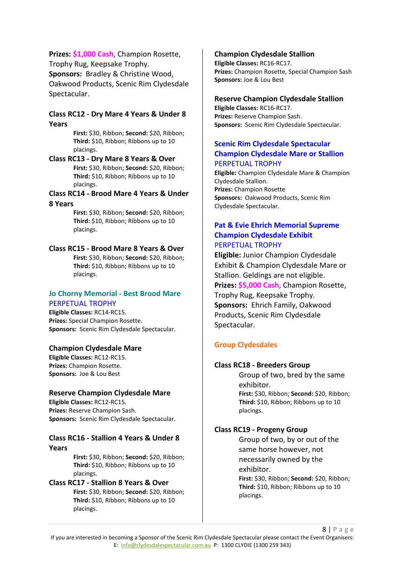**Prizes: \$1,000 Cash**, Champion Rosette, Trophy Rug, Keepsake Trophy. **Sponsors:** Bradley & Christine Wood, Oakwood Products, Scenic Rim Clydesdale Spectacular.

#### **Class RC12 - Dry Mare 4 Years & Under 8 Years**

**First:** \$30, Ribbon; **Second:** \$20, Ribbon; **Third:** \$10, Ribbon; Ribbons up to 10 placings.

**Class RC13 - Dry Mare 8 Years & Over First:** \$30, Ribbon; **Second:** \$20, Ribbon; **Third:** \$10, Ribbon; Ribbons up to 10 placings.

**Class RC14 - Brood Mare 4 Years & Under 8 Years**

> **First:** \$30, Ribbon; **Second:** \$20, Ribbon; **Third:** \$10, Ribbon; Ribbons up to 10 placings.

#### **Class RC15 - Brood Mare 8 Years & Over**

**First:** \$30, Ribbon; **Second:** \$20, Ribbon; **Third:** \$10, Ribbon; Ribbons up to 10 placings.

#### **Jo Chorny Memorial - Best Brood Mare**  PERPETUAL TROPHY

**Eligible Classes:** RC14-RC15. **Prizes:** Special Champion Rosette. **Sponsors:** Scenic Rim Clydesdale Spectacular.

#### **Champion Clydesdale Mare**

**Eligible Classes:** RC12-RC15. **Prizes:** Champion Rosette. **Sponsors:** Joe & Lou Best

#### **Reserve Champion Clydesdale Mare**

**Eligible Classes:** RC12-RC15. **Prizes:** Reserve Champion Sash. **Sponsors:** Scenic Rim Clydesdale Spectacular.

#### **Class RC16 - Stallion 4 Years & Under 8 Years**

**First:** \$30, Ribbon; **Second:** \$20, Ribbon; **Third:** \$10, Ribbon; Ribbons up to 10 placings.

#### **Class RC17 - Stallion 8 Years & Over First:** \$30, Ribbon; **Second:** \$20, Ribbon;

**Third:** \$10, Ribbon; Ribbons up to 10 placings.

#### **Champion Clydesdale Stallion**

**Eligible Classes:** RC16-RC17. **Prizes:** Champion Rosette, Special Champion Sash **Sponsors:** Joe & Lou Best

#### **Reserve Champion Clydesdale Stallion**

**Eligible Classes:** RC16-RC17. **Prizes:** Reserve Champion Sash. **Sponsors:** Scenic Rim Clydesdale Spectacular.

#### **Scenic Rim Clydesdale Spectacular Champion Clydesdale Mare or Stallion**  PERPETUAL TROPHY

**Eligible:** Champion Clydesdale Mare & Champion Clydesdale Stallion. **Prizes:** Champion Rosette **Sponsors:** Oakwood Products, Scenic Rim Clydesdale Spectacular.

#### **Pat & Evie Ehrich Memorial Supreme Champion Clydesdale Exhibit** PERPETUAL TROPHY

**Eligible:** Junior Champion Clydesdale Exhibit & Champion Clydesdale Mare or Stallion. Geldings are not eligible. **Prizes: \$5,000 Cash**, Champion Rosette, Trophy Rug, Keepsake Trophy. **Sponsors:** Ehrich Family, Oakwood Products, Scenic Rim Clydesdale Spectacular.

# **Group Clydesdales**

#### **Class RC18 - Breeders Group**

Group of two, bred by the same exhibitor. **First:** \$30, Ribbon; **Second:** \$20, Ribbon; **Third:** \$10, Ribbon; Ribbons up to 10 placings.

#### **Class RC19 - Progeny Group**

Group of two, by or out of the same horse however, not necessarily owned by the exhibitor. **First:** \$30, Ribbon; **Second:** \$20, Ribbon; **Third:** \$10, Ribbon; Ribbons up to 10 placings.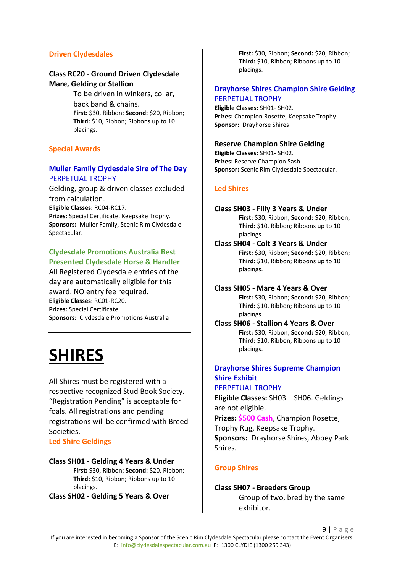#### **Driven Clydesdales**

### **Class RC20 - Ground Driven Clydesdale Mare, Gelding or Stallion**

To be driven in winkers, collar, back band & chains. **First:** \$30, Ribbon; **Second:** \$20, Ribbon; **Third:** \$10, Ribbon; Ribbons up to 10 placings.

#### **Special Awards**

#### **Muller Family Clydesdale Sire of The Day**  PERPETUAL TROPHY

Gelding, group & driven classes excluded from calculation. **Eligible Classes:** RC04-RC17.

**Prizes:** Special Certificate, Keepsake Trophy. **Sponsors:** Muller Family, Scenic Rim Clydesdale Spectacular.

# **Clydesdale Promotions Australia Best Presented Clydesdale Horse & Handler**

All Registered Clydesdale entries of the day are automatically eligible for this award. NO entry fee required. **Eligible Classes**: RC01-RC20. **Prizes:** Special Certificate. **Sponsors:** Clydesdale Promotions Australia

# **SHIRES**

All Shires must be registered with a respective recognized Stud Book Society. "Registration Pending" is acceptable for foals. All registrations and pending registrations will be confirmed with Breed Societies.

#### **Led Shire Geldings**

#### **Class SH01 - Gelding 4 Years & Under**

**First:** \$30, Ribbon; **Second:** \$20, Ribbon; **Third:** \$10, Ribbon; Ribbons up to 10 placings.

**Class SH02 - Gelding 5 Years & Over**

**First:** \$30, Ribbon; **Second:** \$20, Ribbon; **Third:** \$10, Ribbon; Ribbons up to 10 placings.

#### **Drayhorse Shires Champion Shire Gelding**  PERPETUAL TROPHY

**Eligible Classes:** SH01- SH02. **Prizes:** Champion Rosette, Keepsake Trophy. **Sponsor:** Drayhorse Shires

#### **Reserve Champion Shire Gelding**

**Eligible Classes:** SH01- SH02. **Prizes:** Reserve Champion Sash. **Sponsor:** Scenic Rim Clydesdale Spectacular.

#### **Led Shires**

#### **Class SH03 - Filly 3 Years & Under**

**First:** \$30, Ribbon; **Second:** \$20, Ribbon; **Third:** \$10, Ribbon; Ribbons up to 10 placings.

#### **Class SH04 - Colt 3 Years & Under**

**First:** \$30, Ribbon; **Second:** \$20, Ribbon; **Third:** \$10, Ribbon; Ribbons up to 10 placings.

# **Class SH05 - Mare 4 Years & Over**

**First:** \$30, Ribbon; **Second:** \$20, Ribbon; **Third:** \$10, Ribbon; Ribbons up to 10 placings.

**Class SH06 - Stallion 4 Years & Over First:** \$30, Ribbon; **Second:** \$20, Ribbon; **Third:** \$10, Ribbon; Ribbons up to 10 placings.

# **Drayhorse Shires Supreme Champion Shire Exhibit**

#### PERPETUAL TROPHY

**Eligible Classes:** SH03 – SH06. Geldings are not eligible.

**Prizes: \$500 Cash**, Champion Rosette,

Trophy Rug, Keepsake Trophy.

**Sponsors:** Drayhorse Shires, Abbey Park Shires.

#### **Group Shires**

#### **Class SH07 - Breeders Group**

Group of two, bred by the same exhibitor.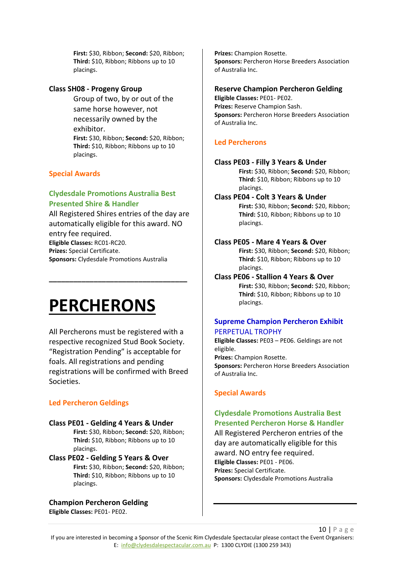**First:** \$30, Ribbon; **Second:** \$20, Ribbon; **Third:** \$10, Ribbon; Ribbons up to 10 placings.

#### **Class SH08 - Progeny Group**

Group of two, by or out of the same horse however, not necessarily owned by the exhibitor. **First:** \$30, Ribbon; **Second:** \$20, Ribbon; **Third:** \$10, Ribbon; Ribbons up to 10 placings.

# **Special Awards**

### **Clydesdale Promotions Australia Best Presented Shire & Handler**

All Registered Shires entries of the day are automatically eligible for this award. NO entry fee required. **Eligible Classes:** RC01-RC20. **Prizes:** Special Certificate.

**\_\_\_\_\_\_\_\_\_\_\_\_\_\_\_\_\_\_\_\_\_\_\_\_\_\_\_\_\_\_\_\_\_\_**

**Sponsors:** Clydesdale Promotions Australia

# **PERCHERONS**

All Percherons must be registered with a respective recognized Stud Book Society. "Registration Pending" is acceptable for foals. All registrations and pending registrations will be confirmed with Breed Societies.

# **Led Percheron Geldings**

#### **Class PE01 - Gelding 4 Years & Under**

**First:** \$30, Ribbon; **Second:** \$20, Ribbon; **Third:** \$10, Ribbon; Ribbons up to 10 placings.

**Class PE02 - Gelding 5 Years & Over First:** \$30, Ribbon; **Second:** \$20, Ribbon; **Third:** \$10, Ribbon; Ribbons up to 10 placings.

#### **Champion Percheron Gelding**

**Eligible Classes:** PE01- PE02.

**Prizes:** Champion Rosette. **Sponsors:** Percheron Horse Breeders Association of Australia Inc.

#### **Reserve Champion Percheron Gelding**

**Eligible Classes:** PE01- PE02. **Prizes:** Reserve Champion Sash. **Sponsors:** Percheron Horse Breeders Association of Australia Inc.

#### **Led Percherons**

#### **Class PE03 - Filly 3 Years & Under**

**First:** \$30, Ribbon; **Second:** \$20, Ribbon; **Third:** \$10, Ribbon; Ribbons up to 10 placings.

#### **Class PE04 - Colt 3 Years & Under**

**First:** \$30, Ribbon; **Second:** \$20, Ribbon; **Third:** \$10, Ribbon; Ribbons up to 10 placings.

#### **Class PE05 - Mare 4 Years & Over**

**First:** \$30, Ribbon; **Second:** \$20, Ribbon; **Third:** \$10, Ribbon; Ribbons up to 10 placings.

**Class PE06 - Stallion 4 Years & Over First:** \$30, Ribbon; **Second:** \$20, Ribbon; **Third:** \$10, Ribbon; Ribbons up to 10 placings.

#### **Supreme Champion Percheron Exhibit**  PERPETUAL TROPHY

**Eligible Classes:** PE03 – PE06. Geldings are not eligible.

**Prizes:** Champion Rosette.

**Sponsors:** Percheron Horse Breeders Association of Australia Inc.

# **Special Awards**

# **Clydesdale Promotions Australia Best Presented Percheron Horse & Handler**

All Registered Percheron entries of the day are automatically eligible for this award. NO entry fee required. **Eligible Classes:** PE01 - PE06. **Prizes:** Special Certificate. **Sponsors:** Clydesdale Promotions Australia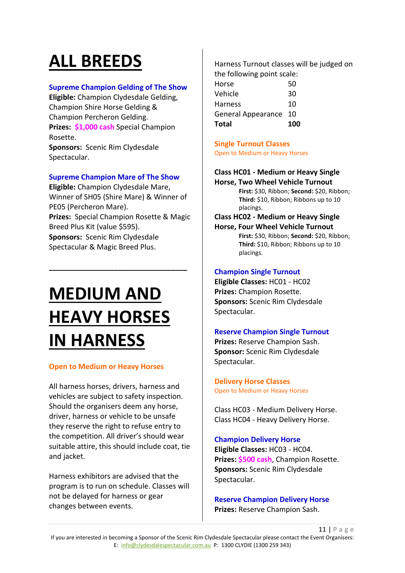# **ALL BREEDS**

### **Supreme Champion Gelding of The Show**

**Eligible:** Champion Clydesdale Gelding, Champion Shire Horse Gelding & Champion Percheron Gelding. **Prizes: \$1,000 cash** Special Champion Rosette. **Sponsors:** Scenic Rim Clydesdale

Spectacular.

#### **Supreme Champion Mare of The Show**

**Eligible:** Champion Clydesdale Mare, Winner of SH05 (Shire Mare) & Winner of PE05 (Percheron Mare). **Prizes:** Special Champion Rosette & Magic Breed Plus Kit (value \$595). **Sponsors:** Scenic Rim Clydesdale Spectacular & Magic Breed Plus.

**\_\_\_\_\_\_\_\_\_\_\_\_\_\_\_\_\_\_\_\_\_\_\_\_\_\_\_\_\_\_\_\_\_\_**

# **MEDIUM AND HEAVY HORSES IN HARNESS**

#### **Open to Medium or Heavy Horses**

All harness horses, drivers, harness and vehicles are subject to safety inspection. Should the organisers deem any horse, driver, harness or vehicle to be unsafe they reserve the right to refuse entry to the competition. All driver's should wear suitable attire, this should include coat, tie and jacket.

Harness exhibitors are advised that the program is to run on schedule. Classes will not be delayed for harness or gear changes between events.

Harness Turnout classes will be judged on the following point scale:

| Total                     | 100 |
|---------------------------|-----|
| <b>General Appearance</b> | 10  |
| <b>Harness</b>            | 10  |
| Vehicle                   | 30  |
| Horse                     | 50  |

**Single Turnout Classes** Open to Medium or Heavy Horses

# **Class HC01 - Medium or Heavy Single**

**Horse, Two Wheel Vehicle Turnout First:** \$30, Ribbon; **Second:** \$20, Ribbon; **Third:** \$10, Ribbon; Ribbons up to 10 placings.

**Class HC02 - Medium or Heavy Single** 

**Horse, Four Wheel Vehicle Turnout First:** \$30, Ribbon; **Second:** \$20, Ribbon; **Third:** \$10, Ribbon; Ribbons up to 10 placings.

#### **Champion Single Turnout**

**Eligible Classes:** HC01 - HC02 **Prizes:** Champion Rosette. **Sponsors:** Scenic Rim Clydesdale Spectacular.

# **Reserve Champion Single Turnout**

**Prizes:** Reserve Champion Sash. **Sponsor:** Scenic Rim Clydesdale Spectacular.

**Delivery Horse Classes** Open to Medium or Heavy Horses

Class HC03 - Medium Delivery Horse. Class HC04 - Heavy Delivery Horse.

**Champion Delivery Horse**

**Eligible Classes:** HC03 - HC04. **Prizes: \$500 cash**, Champion Rosette. **Sponsors:** Scenic Rim Clydesdale Spectacular.

**Reserve Champion Delivery Horse Prizes:** Reserve Champion Sash.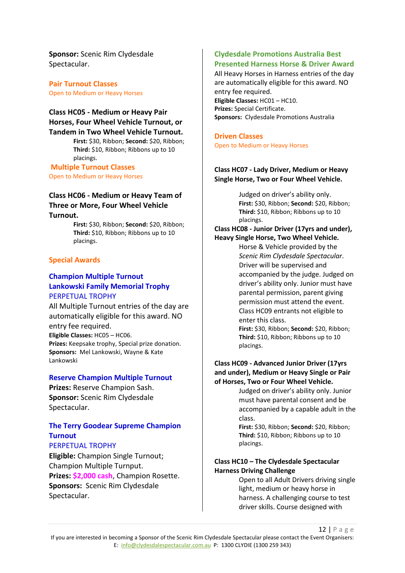**Sponsor:** Scenic Rim Clydesdale Spectacular.

**Pair Turnout Classes** Open to Medium or Heavy Horses

#### **Class HC05 - Medium or Heavy Pair Horses, Four Wheel Vehicle Turnout, or Tandem in Two Wheel Vehicle Turnout.**

**First:** \$30, Ribbon; **Second:** \$20, Ribbon; **Third:** \$10, Ribbon; Ribbons up to 10 placings.

**Multiple Turnout Classes** Open to Medium or Heavy Horses

#### **Class HC06 - Medium or Heavy Team of Three or More, Four Wheel Vehicle Turnout.**

**First:** \$30, Ribbon; **Second:** \$20, Ribbon; **Third:** \$10, Ribbon; Ribbons up to 10 placings.

#### **Special Awards**

#### **Champion Multiple Turnout Lankowski Family Memorial Trophy** PERPETUAL TROPHY

All Multiple Turnout entries of the day are automatically eligible for this award. NO entry fee required. **Eligible Classes:** HC05 – HC06. **Prizes:** Keepsake trophy, Special prize donation. **Sponsors:** Mel Lankowski, Wayne & Kate Lankowski

#### **Reserve Champion Multiple Turnout**

**Prizes:** Reserve Champion Sash. **Sponsor:** Scenic Rim Clydesdale Spectacular.

# **The Terry Goodear Supreme Champion Turnout**

# PERPETUAL TROPHY

**Eligible:** Champion Single Turnout; Champion Multiple Turnput. **Prizes: \$2,000 cash**, Champion Rosette. **Sponsors:** Scenic Rim Clydesdale Spectacular.

#### **Clydesdale Promotions Australia Best Presented Harness Horse & Driver Award**

All Heavy Horses in Harness entries of the day are automatically eligible for this award. NO entry fee required. **Eligible Classes:** HC01 – HC10. **Prizes:** Special Certificate. **Sponsors:** Clydesdale Promotions Australia

# **Driven Classes**

Open to Medium or Heavy Horses

#### **Class HC07 - Lady Driver, Medium or Heavy Single Horse, Two or Four Wheel Vehicle.**

Judged on driver's ability only. **First:** \$30, Ribbon; **Second:** \$20, Ribbon; **Third:** \$10, Ribbon; Ribbons up to 10 placings.

**Class HC08 - Junior Driver (17yrs and under), Heavy Single Horse, Two Wheel Vehicle.** 

> Horse & Vehicle provided by the *Scenic Rim Clydesdale Spectacular*. Driver will be supervised and accompanied by the judge. Judged on driver's ability only. Junior must have parental permission, parent giving permission must attend the event. Class HC09 entrants not eligible to enter this class. **First:** \$30, Ribbon; **Second:** \$20, Ribbon;

**Third:** \$10, Ribbon; Ribbons up to 10 placings.

#### **Class HC09 - Advanced Junior Driver (17yrs and under), Medium or Heavy Single or Pair of Horses, Two or Four Wheel Vehicle.**

Judged on driver's ability only. Junior must have parental consent and be accompanied by a capable adult in the class.

**First:** \$30, Ribbon; **Second:** \$20, Ribbon; **Third:** \$10, Ribbon; Ribbons up to 10 placings.

#### **Class HC10 – The Clydesdale Spectacular Harness Driving Challenge**

Open to all Adult Drivers driving single light, medium or heavy horse in harness. A challenging course to test driver skills. Course designed with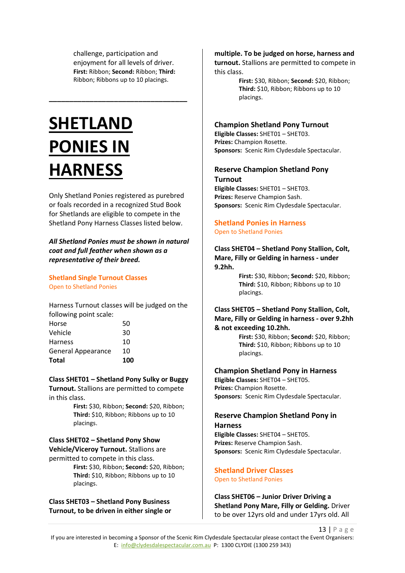challenge, participation and enjoyment for all levels of driver. **First:** Ribbon; **Second:** Ribbon; **Third:** Ribbon; Ribbons up to 10 placings.

**\_\_\_\_\_\_\_\_\_\_\_\_\_\_\_\_\_\_\_\_\_\_\_\_\_\_\_\_\_\_\_\_\_\_**

# **SHETLAND PONIES IN HARNESS**

Only Shetland Ponies registered as purebred or foals recorded in a recognized Stud Book for Shetlands are eligible to compete in the Shetland Pony Harness Classes listed below.

*All Shetland Ponies must be shown in natural coat and full feather when shown as a representative of their breed.*

**Shetland Single Turnout Classes** Open to Shetland Ponies

Harness Turnout classes will be judged on the following point scale:

| Total                     | 100 |
|---------------------------|-----|
| <b>General Appearance</b> | 10  |
| <b>Harness</b>            | 10  |
| Vehicle                   | 30  |
| Horse                     | 50  |

**Class SHET01 – Shetland Pony Sulky or Buggy** 

**Turnout.** Stallions are permitted to compete in this class.

> **First:** \$30, Ribbon; **Second:** \$20, Ribbon; **Third:** \$10, Ribbon; Ribbons up to 10 placings.

# **Class SHET02 – Shetland Pony Show Vehicle/Viceroy Turnout.** Stallions are

permitted to compete in this class.

**First:** \$30, Ribbon; **Second:** \$20, Ribbon; **Third:** \$10, Ribbon; Ribbons up to 10 placings.

**Class SHET03 – Shetland Pony Business Turnout, to be driven in either single or** 

#### **multiple. To be judged on horse, harness and**

**turnout.** Stallions are permitted to compete in this class.

> **First:** \$30, Ribbon; **Second:** \$20, Ribbon; **Third:** \$10, Ribbon; Ribbons up to 10 placings.

#### **Champion Shetland Pony Turnout**

**Eligible Classes:** SHET01 – SHET03. **Prizes:** Champion Rosette. **Sponsors:** Scenic Rim Clydesdale Spectacular.

#### **Reserve Champion Shetland Pony Turnout**

**Eligible Classes:** SHET01 – SHET03. **Prizes:** Reserve Champion Sash. **Sponsors:** Scenic Rim Clydesdale Spectacular.

#### **Shetland Ponies in Harness** Open to Shetland Ponies

#### **Class SHET04 – Shetland Pony Stallion, Colt, Mare, Filly or Gelding in harness - under 9.2hh.**

**First:** \$30, Ribbon; **Second:** \$20, Ribbon; **Third:** \$10, Ribbon; Ribbons up to 10 placings.

#### **Class SHET05 – Shetland Pony Stallion, Colt, Mare, Filly or Gelding in harness - over 9.2hh & not exceeding 10.2hh.**

**First:** \$30, Ribbon; **Second:** \$20, Ribbon; **Third:** \$10, Ribbon; Ribbons up to 10 placings.

#### **Champion Shetland Pony in Harness**

**Eligible Classes:** SHET04 – SHET05. **Prizes:** Champion Rosette. **Sponsors:** Scenic Rim Clydesdale Spectacular.

#### **Reserve Champion Shetland Pony in Harness**

**Eligible Classes:** SHET04 – SHET05. **Prizes:** Reserve Champion Sash. **Sponsors:** Scenic Rim Clydesdale Spectacular.

# **Shetland Driver Classes**

# Open to Shetland Ponies

**Class SHET06 – Junior Driver Driving a Shetland Pony Mare, Filly or Gelding.** Driver to be over 12yrs old and under 17yrs old. All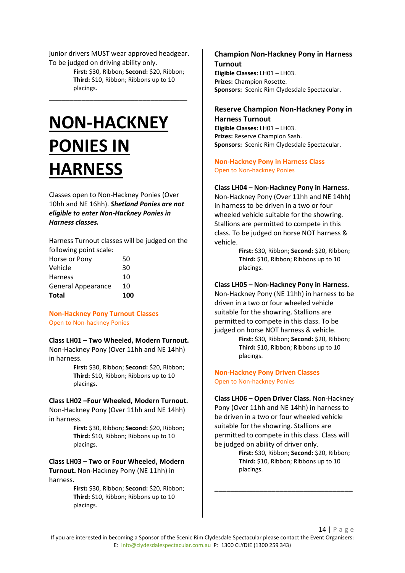junior drivers MUST wear approved headgear. To be judged on driving ability only.

**\_\_\_\_\_\_\_\_\_\_\_\_\_\_\_\_\_\_\_\_\_\_\_\_\_\_\_\_\_\_\_\_\_\_**

**First:** \$30, Ribbon; **Second:** \$20, Ribbon; **Third:** \$10, Ribbon; Ribbons up to 10 placings.

# **NON-HACKNEY PONIES IN HARNESS**

Classes open to Non-Hackney Ponies (Over 10hh and NE 16hh). *Shetland Ponies are not eligible to enter Non-Hackney Ponies in Harness classes.*

Harness Turnout classes will be judged on the following point scale:

| 10 |
|----|
| 10 |
| 30 |
| 50 |
|    |

**Non-Hackney Pony Turnout Classes** Open to Non-hackney Ponies

#### **Class LH01 – Two Wheeled, Modern Turnout.**

Non-Hackney Pony (Over 11hh and NE 14hh) in harness.

> **First:** \$30, Ribbon; **Second:** \$20, Ribbon; **Third:** \$10, Ribbon; Ribbons up to 10 placings.

#### **Class LH02 –Four Wheeled, Modern Turnout.**

Non-Hackney Pony (Over 11hh and NE 14hh) in harness.

> **First:** \$30, Ribbon; **Second:** \$20, Ribbon; **Third:** \$10, Ribbon; Ribbons up to 10 placings.

**Class LH03 – Two or Four Wheeled, Modern Turnout.** Non-Hackney Pony (NE 11hh) in harness.

> **First:** \$30, Ribbon; **Second:** \$20, Ribbon; **Third:** \$10, Ribbon; Ribbons up to 10 placings.

### **Champion Non-Hackney Pony in Harness Turnout**

**Eligible Classes:** LH01 – LH03. **Prizes:** Champion Rosette. **Sponsors:** Scenic Rim Clydesdale Spectacular.

#### **Reserve Champion Non-Hackney Pony in Harness Turnout**

**Eligible Classes:** LH01 – LH03. **Prizes:** Reserve Champion Sash. **Sponsors:** Scenic Rim Clydesdale Spectacular.

#### **Non-Hackney Pony in Harness Class** Open to Non-hackney Ponies

#### **Class LH04 – Non-Hackney Pony in Harness.**

Non-Hackney Pony (Over 11hh and NE 14hh) in harness to be driven in a two or four wheeled vehicle suitable for the showring. Stallions are permitted to compete in this class. To be judged on horse NOT harness & vehicle.

> **First:** \$30, Ribbon; **Second:** \$20, Ribbon; **Third:** \$10, Ribbon; Ribbons up to 10 placings.

#### **Class LH05 – Non-Hackney Pony in Harness.**

Non-Hackney Pony (NE 11hh) in harness to be driven in a two or four wheeled vehicle suitable for the showring. Stallions are permitted to compete in this class. To be judged on horse NOT harness & vehicle.

> **First:** \$30, Ribbon; **Second:** \$20, Ribbon; **Third:** \$10, Ribbon; Ribbons up to 10 placings.

#### **Non-Hackney Pony Driven Classes** Open to Non-hackney Ponies

**Class LH06 – Open Driver Class.** Non-Hackney Pony (Over 11hh and NE 14hh) in harness to be driven in a two or four wheeled vehicle suitable for the showring. Stallions are permitted to compete in this class. Class will be judged on ability of driver only.

**\_\_\_\_\_\_\_\_\_\_\_\_\_\_\_\_\_\_\_\_\_\_\_\_\_\_\_\_\_\_\_\_\_\_**

**First:** \$30, Ribbon; **Second:** \$20, Ribbon; **Third:** \$10, Ribbon; Ribbons up to 10 placings.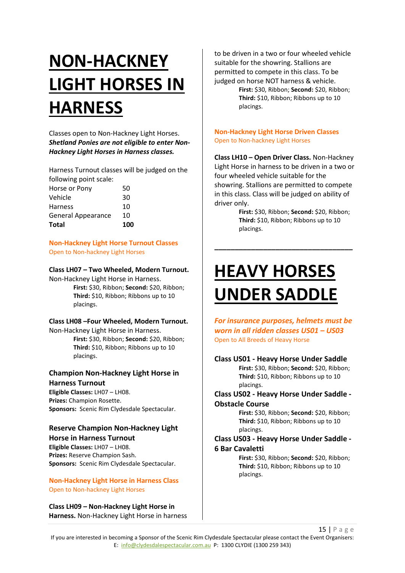# **NON-HACKNEY LIGHT HORSES IN HARNESS**

Classes open to Non-Hackney Light Horses. *Shetland Ponies are not eligible to enter Non-Hackney Light Horses in Harness classes.*

Harness Turnout classes will be judged on the following point scale:

| <b>Total</b>              | 100 |
|---------------------------|-----|
| <b>General Appearance</b> | 10  |
| <b>Harness</b>            | 10  |
| Vehicle                   | 30  |
| Horse or Pony             | 50  |
|                           |     |

**Non-Hackney Light Horse Turnout Classes** Open to Non-hackney Light Horses

#### **Class LH07 – Two Wheeled, Modern Turnout.**

Non-Hackney Light Horse in Harness. **First:** \$30, Ribbon; **Second:** \$20, Ribbon; **Third:** \$10, Ribbon; Ribbons up to 10 placings.

# **Class LH08 –Four Wheeled, Modern Turnout.**

Non-Hackney Light Horse in Harness. **First:** \$30, Ribbon; **Second:** \$20, Ribbon; **Third:** \$10, Ribbon; Ribbons up to 10 placings.

#### **Champion Non-Hackney Light Horse in Harness Turnout**

**Eligible Classes:** LH07 – LH08. **Prizes:** Champion Rosette. **Sponsors:** Scenic Rim Clydesdale Spectacular.

# **Reserve Champion Non-Hackney Light**

**Horse in Harness Turnout Eligible Classes:** LH07 – LH08. **Prizes:** Reserve Champion Sash. **Sponsors:** Scenic Rim Clydesdale Spectacular.

**Non-Hackney Light Horse in Harness Class** Open to Non-hackney Light Horses

**Class LH09 – Non-Hackney Light Horse in Harness.** Non-Hackney Light Horse in harness to be driven in a two or four wheeled vehicle suitable for the showring. Stallions are permitted to compete in this class. To be judged on horse NOT harness & vehicle. **First:** \$30, Ribbon; **Second:** \$20, Ribbon;

**Third:** \$10, Ribbon; Ribbons up to 10 placings.

#### **Non-Hackney Light Horse Driven Classes** Open to Non-hackney Light Horses

**Class LH10 – Open Driver Class.** Non-Hackney Light Horse in harness to be driven in a two or four wheeled vehicle suitable for the showring. Stallions are permitted to compete in this class. Class will be judged on ability of driver only.

**\_\_\_\_\_\_\_\_\_\_\_\_\_\_\_\_\_\_\_\_\_\_\_\_\_\_\_\_\_\_\_\_\_\_**

**First:** \$30, Ribbon; **Second:** \$20, Ribbon; **Third:** \$10, Ribbon; Ribbons up to 10 placings.

# **HEAVY HORSES UNDER SADDLE**

*For insurance purposes, helmets must be worn in all ridden classes US01 – US03* Open to All Breeds of Heavy Horse

#### **Class US01 - Heavy Horse Under Saddle**

**First:** \$30, Ribbon; **Second:** \$20, Ribbon; **Third:** \$10, Ribbon; Ribbons up to 10 placings.

#### **Class US02 - Heavy Horse Under Saddle - Obstacle Course**

**First:** \$30, Ribbon; **Second:** \$20, Ribbon; **Third:** \$10, Ribbon; Ribbons up to 10 placings.

# **Class US03 - Heavy Horse Under Saddle -**

#### **6 Bar Cavaletti**

**First:** \$30, Ribbon; **Second:** \$20, Ribbon; **Third:** \$10, Ribbon; Ribbons up to 10 placings.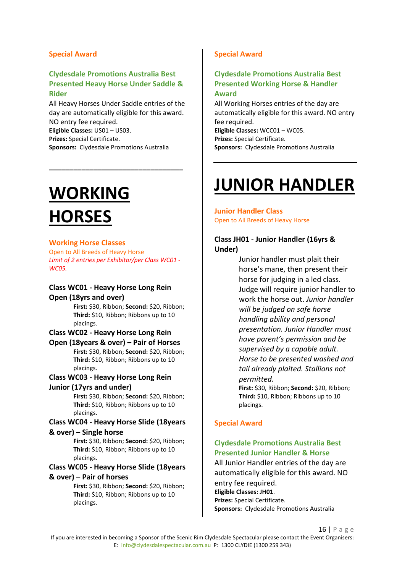#### **Special Award**

#### **Clydesdale Promotions Australia Best Presented Heavy Horse Under Saddle & Rider**

All Heavy Horses Under Saddle entries of the day are automatically eligible for this award. NO entry fee required. **Eligible Classes:** US01 – US03. **Prizes:** Special Certificate. **Sponsors:** Clydesdale Promotions Australia

**\_\_\_\_\_\_\_\_\_\_\_\_\_\_\_\_\_\_\_\_\_\_\_\_\_\_\_\_\_\_\_\_\_**

# **WORKING HORSES**

#### **Working Horse Classes**

Open to All Breeds of Heavy Horse *Limit of 2 entries per Exhibitor/per Class WC01 - WC05.*

#### **Class WC01 - Heavy Horse Long Rein Open (18yrs and over)**

**First:** \$30, Ribbon; **Second:** \$20, Ribbon; **Third:** \$10, Ribbon; Ribbons up to 10 placings.

#### **Class WC02 - Heavy Horse Long Rein**

**Open (18years & over) – Pair of Horses First:** \$30, Ribbon; **Second:** \$20, Ribbon; **Third:** \$10, Ribbon; Ribbons up to 10 placings.

# **Class WC03 - Heavy Horse Long Rein**

#### **Junior (17yrs and under)**

**First:** \$30, Ribbon; **Second:** \$20, Ribbon; **Third:** \$10, Ribbon; Ribbons up to 10 placings.

# **Class WC04 - Heavy Horse Slide (18years**

#### **& over) – Single horse**

**First:** \$30, Ribbon; **Second:** \$20, Ribbon; **Third:** \$10, Ribbon; Ribbons up to 10 placings.

**Class WC05 - Heavy Horse Slide (18years & over) – Pair of horses**

> **First:** \$30, Ribbon; **Second:** \$20, Ribbon; **Third:** \$10, Ribbon; Ribbons up to 10 placings.

# **Special Award**

# **Clydesdale Promotions Australia Best Presented Working Horse & Handler Award**

All Working Horses entries of the day are automatically eligible for this award. NO entry fee required. **Eligible Classes:** WCC01 – WC05. **Prizes:** Special Certificate. **Sponsors:** Clydesdale Promotions Australia

# **JUNIOR HANDLER**

#### **Junior Handler Class** Open to All Breeds of Heavy Horse

# **Class JH01 - Junior Handler (16yrs & Under)**

Junior handler must plait their horse's mane, then present their horse for judging in a led class. Judge will require junior handler to work the horse out. *Junior handler will be judged on safe horse handling ability and personal presentation. Junior Handler must have parent's permission and be supervised by a capable adult. Horse to be presented washed and tail already plaited. Stallions not permitted.*

**First:** \$30, Ribbon; **Second:** \$20, Ribbon; **Third:** \$10, Ribbon; Ribbons up to 10 placings.

# **Special Award**

# **Clydesdale Promotions Australia Best Presented Junior Handler & Horse**

All Junior Handler entries of the day are automatically eligible for this award. NO entry fee required. **Eligible Classes: JH01**. **Prizes:** Special Certificate. **Sponsors:** Clydesdale Promotions Australia